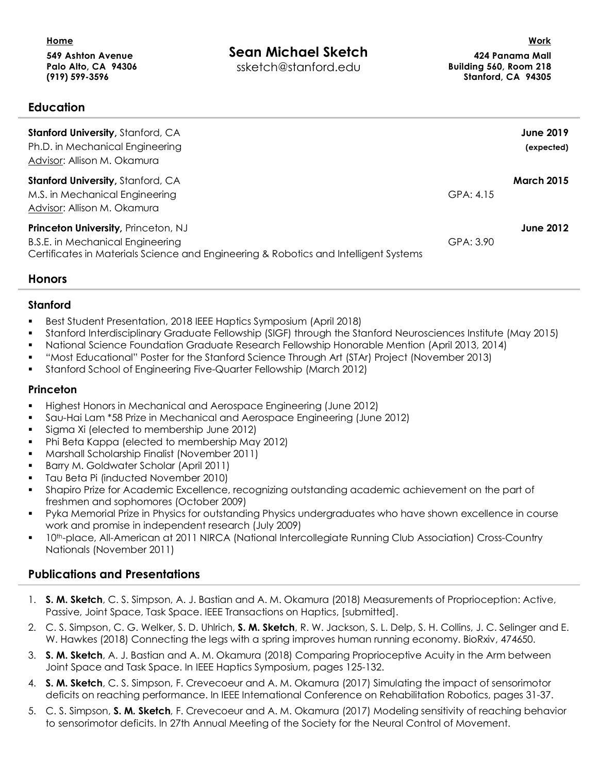| Home<br>549 Ashton Avenue<br>Palo Alto, CA 94306<br>$(919) 599 - 3596$ | Sean Michael Sketch<br>ssketch@stanford.edu | Work<br>424 Panama Mall<br>Building 560, Room 218<br>Stanford, CA 94305 |
|------------------------------------------------------------------------|---------------------------------------------|-------------------------------------------------------------------------|
| <b>Education</b>                                                       |                                             |                                                                         |
| <b>Stanford University, Stanford, CA</b>                               |                                             | <b>June 2019</b>                                                        |
| Ph.D. in Mechanical Engineering                                        |                                             | (expected)                                                              |

| <b>Stanford University, Stanford, CA</b>                                             |           | <b>March 2015</b> |
|--------------------------------------------------------------------------------------|-----------|-------------------|
| M.S. in Mechanical Engineering                                                       | GPA: 4.15 |                   |
| Advisor: Allison M. Okamura                                                          |           |                   |
| <b>Princeton University, Princeton, NJ</b>                                           |           | <b>June 2012</b>  |
| B.S.E. in Mechanical Engineering                                                     | GPA: 3.90 |                   |
| Certificates in Materials Science and Engineering & Robotics and Intelligent Systems |           |                   |

## **Honors**

Advisor: Allison M. Okamura

### **Stanford**

- § Best Student Presentation, 2018 IEEE Haptics Symposium (April 2018)
- § Stanford Interdisciplinary Graduate Fellowship (SIGF) through the Stanford Neurosciences Institute (May 2015)
- § National Science Foundation Graduate Research Fellowship Honorable Mention (April 2013, 2014)
- § "Most Educational" Poster for the Stanford Science Through Art (STAr) Project (November 2013)
- § Stanford School of Engineering Five-Quarter Fellowship (March 2012)

### **Princeton**

- § Highest Honors in Mechanical and Aerospace Engineering (June 2012)
- § Sau-Hai Lam \*58 Prize in Mechanical and Aerospace Engineering (June 2012)
- Sigma Xi (elected to membership June 2012)
- Phi Beta Kappa (elected to membership May 2012)
- § Marshall Scholarship Finalist (November 2011)
- Barry M. Goldwater Scholar (April 2011)
- Tau Beta Pi (inducted November 2010)
- § Shapiro Prize for Academic Excellence, recognizing outstanding academic achievement on the part of freshmen and sophomores (October 2009)
- § Pyka Memorial Prize in Physics for outstanding Physics undergraduates who have shown excellence in course work and promise in independent research (July 2009)
- § 10th-place, All-American at 2011 NIRCA (National Intercollegiate Running Club Association) Cross-Country Nationals (November 2011)

## **Publications and Presentations**

- 1. **S. M. Sketch**, C. S. Simpson, A. J. Bastian and A. M. Okamura (2018) Measurements of Proprioception: Active, Passive, Joint Space, Task Space. IEEE Transactions on Haptics, [submitted].
- 2. C. S. Simpson, C. G. Welker, S. D. Uhlrich, **S. M. Sketch**, R. W. Jackson, S. L. Delp, S. H. Collins, J. C. Selinger and E. W. Hawkes (2018) Connecting the legs with a spring improves human running economy. BioRxiv, 474650.
- 3. **S. M. Sketch**, A. J. Bastian and A. M. Okamura (2018) Comparing Proprioceptive Acuity in the Arm between Joint Space and Task Space. In IEEE Haptics Symposium, pages 125-132.
- 4. **S. M. Sketch**, C. S. Simpson, F. Crevecoeur and A. M. Okamura (2017) Simulating the impact of sensorimotor deficits on reaching performance. In IEEE International Conference on Rehabilitation Robotics, pages 31-37.
- 5. C. S. Simpson, **S. M. Sketch**, F. Crevecoeur and A. M. Okamura (2017) Modeling sensitivity of reaching behavior to sensorimotor deficits. In 27th Annual Meeting of the Society for the Neural Control of Movement.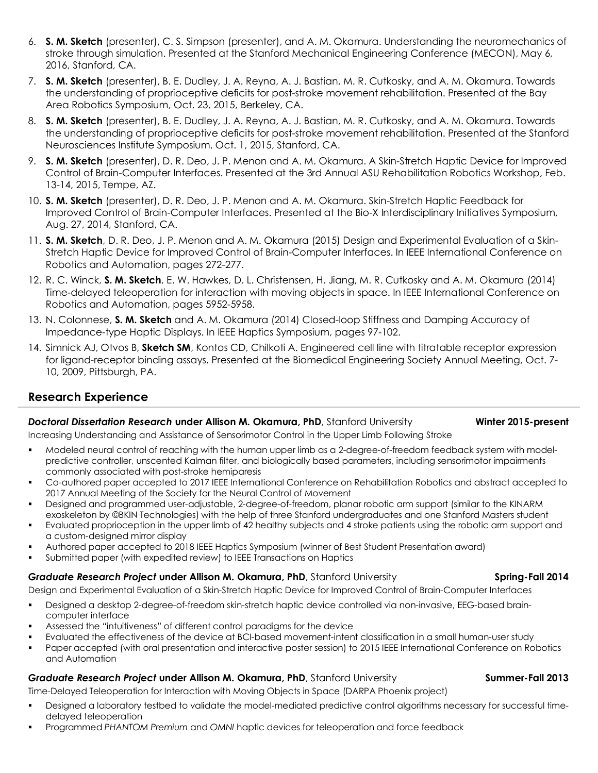- 6. **S. M. Sketch** (presenter), C. S. Simpson (presenter), and A. M. Okamura. Understanding the neuromechanics of stroke through simulation. Presented at the Stanford Mechanical Engineering Conference (MECON), May 6, 2016, Stanford, CA.
- 7. **S. M. Sketch** (presenter), B. E. Dudley, J. A. Reyna, A. J. Bastian, M. R. Cutkosky, and A. M. Okamura. Towards the understanding of proprioceptive deficits for post-stroke movement rehabilitation. Presented at the Bay Area Robotics Symposium, Oct. 23, 2015, Berkeley, CA.
- 8. **S. M. Sketch** (presenter), B. E. Dudley, J. A. Reyna, A. J. Bastian, M. R. Cutkosky, and A. M. Okamura. Towards the understanding of proprioceptive deficits for post-stroke movement rehabilitation. Presented at the Stanford Neurosciences Institute Symposium, Oct. 1, 2015, Stanford, CA.
- 9. **S. M. Sketch** (presenter), D. R. Deo, J. P. Menon and A. M. Okamura. A Skin-Stretch Haptic Device for Improved Control of Brain-Computer Interfaces. Presented at the 3rd Annual ASU Rehabilitation Robotics Workshop, Feb. 13-14, 2015, Tempe, AZ.
- 10. **S. M. Sketch** (presenter), D. R. Deo, J. P. Menon and A. M. Okamura. Skin-Stretch Haptic Feedback for Improved Control of Brain-Computer Interfaces. Presented at the Bio-X Interdisciplinary Initiatives Symposium, Aug. 27, 2014, Stanford, CA.
- 11. **S. M. Sketch**, D. R. Deo, J. P. Menon and A. M. Okamura (2015) Design and Experimental Evaluation of a Skin-Stretch Haptic Device for Improved Control of Brain-Computer Interfaces. In IEEE International Conference on Robotics and Automation, pages 272-277.
- 12. R. C. Winck, **S. M. Sketch**, E. W. Hawkes, D. L. Christensen, H. Jiang, M. R. Cutkosky and A. M. Okamura (2014) Time-delayed teleoperation for interaction with moving objects in space. In IEEE International Conference on Robotics and Automation, pages 5952-5958.
- 13. N. Colonnese, **S. M. Sketch** and A. M. Okamura (2014) Closed-loop Stiffness and Damping Accuracy of Impedance-type Haptic Displays. In IEEE Haptics Symposium, pages 97-102.
- 14. Simnick AJ, Otvos B, **Sketch SM**, Kontos CD, Chilkoti A. Engineered cell line with titratable receptor expression for ligand-receptor binding assays. Presented at the Biomedical Engineering Society Annual Meeting, Oct. 7- 10, 2009, Pittsburgh, PA.

# **Research Experience**

## *Doctoral Dissertation Research* **under Allison M. Okamura, PhD**, Stanford University **Winter 2015-present**

### Increasing Understanding and Assistance of Sensorimotor Control in the Upper Limb Following Stroke

- § Modeled neural control of reaching with the human upper limb as a 2-degree-of-freedom feedback system with modelpredictive controller, unscented Kalman filter, and biologically based parameters, including sensorimotor impairments commonly associated with post-stroke hemiparesis
- § Co-authored paper accepted to 2017 IEEE International Conference on Rehabilitation Robotics and abstract accepted to 2017 Annual Meeting of the Society for the Neural Control of Movement
- § Designed and programmed user-adjustable, 2-degree-of-freedom, planar robotic arm support (similar to the KINARM exoskeleton by ©BKIN Technologies) with the help of three Stanford undergraduates and one Stanford Masters student
- Evaluated proprioception in the upper limb of 42 healthy subjects and 4 stroke patients using the robotic arm support and a custom-designed mirror display
- § Authored paper accepted to 2018 IEEE Haptics Symposium (winner of Best Student Presentation award)
- § Submitted paper (with expedited review) to IEEE Transactions on Haptics

### **Graduate Research Project under Allison M. Okamura, PhD, Stanford University <b>Spring-Fall 2014 Spring-Fall 2014**

Design and Experimental Evaluation of a Skin-Stretch Haptic Device for Improved Control of Brain-Computer Interfaces

- § Designed a desktop 2-degree-of-freedom skin-stretch haptic device controlled via non-invasive, EEG-based braincomputer interface
- § Assessed the "intuitiveness" of different control paradigms for the device
- Evaluated the effectiveness of the device at BCI-based movement-intent classification in a small human-user study
- Paper accepted (with oral presentation and interactive poster session) to 2015 IEEE International Conference on Robotics and Automation

### **Graduate Research Project under Allison M. Okamura, PhD, Stanford University <b>Summer-Fall 2013 Summer-Fall 2013**

Time-Delayed Teleoperation for Interaction with Moving Objects in Space (DARPA Phoenix project)

- Designed a laboratory testbed to validate the model-mediated predictive control algorithms necessary for successful timedelayed teleoperation
- § Programmed *PHANTOM Premium* and *OMNI* haptic devices for teleoperation and force feedback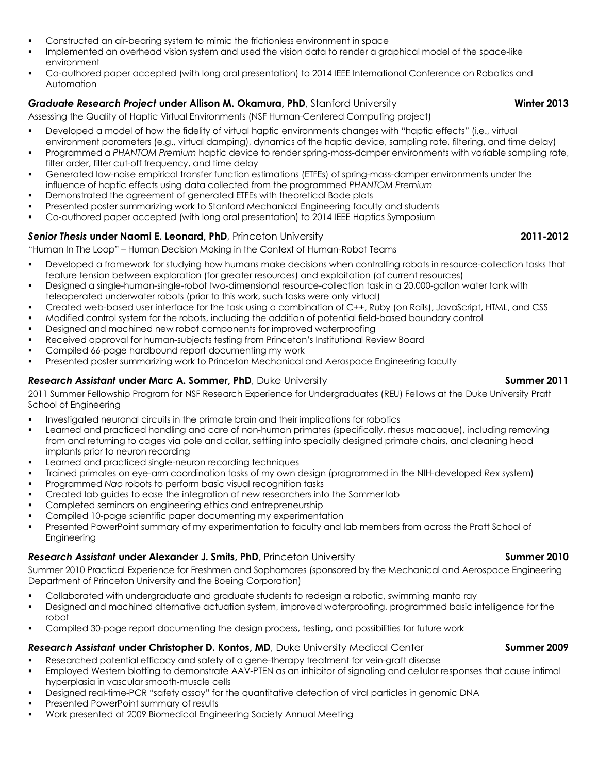- § Constructed an air-bearing system to mimic the frictionless environment in space
- Implemented an overhead vision system and used the vision data to render a graphical model of the space-like environment
- § Co-authored paper accepted (with long oral presentation) to 2014 IEEE International Conference on Robotics and Automation

### **Graduate Research Project under Allison M. Okamura, PhD**, Stanford University **Winter 2013 Winter 2013**

Assessing the Quality of Haptic Virtual Environments (NSF Human-Centered Computing project)

- § Developed a model of how the fidelity of virtual haptic environments changes with "haptic effects" (i.e., virtual environment parameters (e.g., virtual damping), dynamics of the haptic device, sampling rate, filtering, and time delay)
- § Programmed a *PHANTOM Premium* haptic device to render spring-mass-damper environments with variable sampling rate, filter order, filter cut-off frequency, and time delay
- § Generated low-noise empirical transfer function estimations (ETFEs) of spring-mass-damper environments under the influence of haptic effects using data collected from the programmed *PHANTOM Premium*
- § Demonstrated the agreement of generated ETFEs with theoretical Bode plots
- § Presented poster summarizing work to Stanford Mechanical Engineering faculty and students
- § Co-authored paper accepted (with long oral presentation) to 2014 IEEE Haptics Symposium

### *Senior Thesis* **under Naomi E. Leonard, PhD**, Princeton University **2011-2012**

"Human In The Loop" – Human Decision Making in the Context of Human-Robot Teams

- § Developed a framework for studying how humans make decisions when controlling robots in resource-collection tasks that feature tension between exploration (for greater resources) and exploitation (of current resources)
- § Designed a single-human-single-robot two-dimensional resource-collection task in a 20,000-gallon water tank with teleoperated underwater robots (prior to this work, such tasks were only virtual)
- § Created web-based user interface for the task using a combination of C++, Ruby (on Rails), JavaScript, HTML, and CSS
- § Modified control system for the robots, including the addition of potential field-based boundary control
- § Designed and machined new robot components for improved waterproofing
- § Received approval for human-subjects testing from Princeton's Institutional Review Board
- § Compiled 66-page hardbound report documenting my work
- Presented poster summarizing work to Princeton Mechanical and Aerospace Engineering faculty

### **Research Assistant under Marc A. Sommer, PhD**, Duke University **Summer 2011 Summer 2011**

2011 Summer Fellowship Program for NSF Research Experience for Undergraduates (REU) Fellows at the Duke University Pratt School of Engineering

- **•** Investigated neuronal circuits in the primate brain and their implications for robotics
- Learned and practiced handling and care of non-human primates (specifically, rhesus macaque), including removing from and returning to cages via pole and collar, settling into specially designed primate chairs, and cleaning head implants prior to neuron recording
- Learned and practiced single-neuron recording techniques
- § Trained primates on eye-arm coordination tasks of my own design (programmed in the NIH-developed *Rex* system)
- § Programmed *Nao* robots to perform basic visual recognition tasks
- § Created lab guides to ease the integration of new researchers into the Sommer lab
- § Completed seminars on engineering ethics and entrepreneurship
- Compiled 10-page scientific paper documenting my experimentation
- § Presented PowerPoint summary of my experimentation to faculty and lab members from across the Pratt School of Engineering

### **Research Assistant under Alexander J. Smits, PhD**, Princeton University **Summer 2010 Summer 2010**

Summer 2010 Practical Experience for Freshmen and Sophomores (sponsored by the Mechanical and Aerospace Engineering Department of Princeton University and the Boeing Corporation)

- Collaborated with undergraduate and graduate students to redesign a robotic, swimming manta ray
- Designed and machined alternative actuation system, improved waterproofing, programmed basic intelligence for the robot
- § Compiled 30-page report documenting the design process, testing, and possibilities for future work

### **Research Assistant under Christopher D. Kontos, MD, Duke University Medical Center <b>Summer 2009 Summer 2009**

- Researched potential efficacy and safety of a gene-therapy treatment for vein-graft disease
- **Employed Western blotting to demonstrate AAV-PTEN as an inhibitor of signaling and cellular responses that cause intimal** hyperplasia in vascular smooth-muscle cells
- § Designed real-time-PCR "safety assay" for the quantitative detection of viral particles in genomic DNA
- § Presented PowerPoint summary of results
- § Work presented at 2009 Biomedical Engineering Society Annual Meeting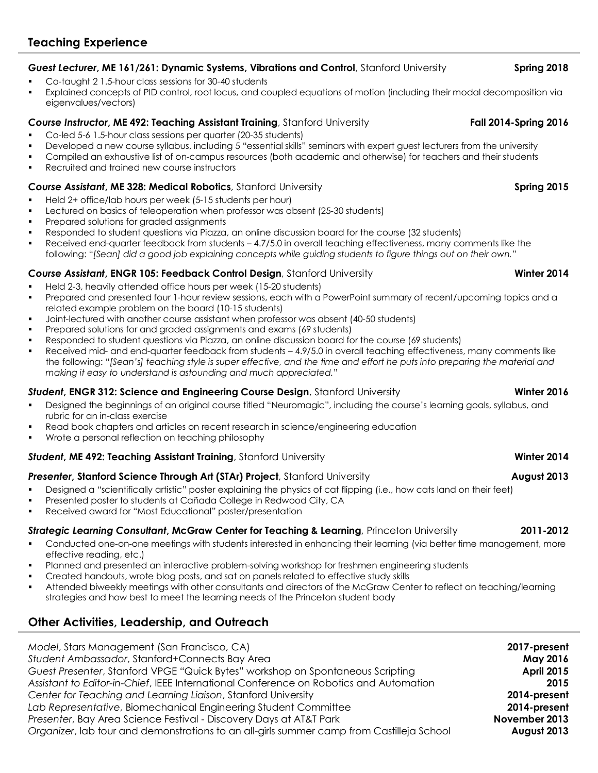# *Guest Lecturer***, ME 161/261: Dynamic Systems, Vibrations and Control**, Stanford University **Spring 2018**

- § Co-taught 2 1.5-hour class sessions for 30-40 students
- Explained concepts of PID control, root locus, and coupled equations of motion (including their modal decomposition via eigenvalues/vectors)

### **Course Instructor, ME 492: Teaching Assistant Training**, Stanford University **Fall 2014-Spring 2016**

- § Co-led 5-6 1.5-hour class sessions per quarter (20-35 students)
- Developed a new course syllabus, including 5 "essential skills" seminars with expert guest lecturers from the university
- § Compiled an exhaustive list of on-campus resources (both academic and otherwise) for teachers and their students
- § Recruited and trained new course instructors

### *Course Assistant***, ME 328: Medical Robotics**, Stanford University **Spring 2015**

- § Held 2+ office/lab hours per week (5-15 students per hour)
- § Lectured on basics of teleoperation when professor was absent (25-30 students)
- Prepared solutions for graded assignments
- § Responded to student questions via Piazza, an online discussion board for the course (32 students)
- Received end-quarter feedback from students 4.7/5.0 in overall teaching effectiveness, many comments like the following: "*[Sean] did a good job explaining concepts while guiding students to figure things out on their own.*"

### *Course Assistant***, ENGR 105: Feedback Control Design**, Stanford University **Winter 2014**

- § Held 2-3, heavily attended office hours per week (15-20 students)
- Prepared and presented four 1-hour review sessions, each with a PowerPoint summary of recent/upcoming topics and a related example problem on the board (10-15 students)
- § Joint-lectured with another course assistant when professor was absent (40-50 students)
- § Prepared solutions for and graded assignments and exams (69 students)
- § Responded to student questions via Piazza, an online discussion board for the course (69 students)
- § Received mid- and end-quarter feedback from students 4.9/5.0 in overall teaching effectiveness, many comments like the following: "*[Sean's] teaching style is super effective, and the time and effort he puts into preparing the material and making it easy to understand is astounding and much appreciated.*"

### *Student***, ENGR 312: Science and Engineering Course Design**, Stanford University **Winter 2016**

- Designed the beginnings of an original course titled "Neuromagic", including the course's learning goals, syllabus, and rubric for an in-class exercise
- Read book chapters and articles on recent research in science/engineering education
- § Wrote a personal reflection on teaching philosophy

### **Student, ME 492: Teaching Assistant Training**, Stanford University **Winter 2014 Winter 2014**

### *Presenter***, Stanford Science Through Art (STAr) Project**, Stanford University **August 2013**

- Designed a "scientifically artistic" poster explaining the physics of cat flipping (i.e., how cats land on their feet)
- § Presented poster to students at Cañada College in Redwood City, CA
- § Received award for "Most Educational" poster/presentation

### *Strategic Learning Consultant***, McGraw Center for Teaching & Learning**, Princeton University **2011-2012**

- Conducted one-on-one meetings with students interested in enhancing their learning (via better time management, more effective reading, etc.)
- Planned and presented an interactive problem-solving workshop for freshmen engineering students
- § Created handouts, wrote blog posts, and sat on panels related to effective study skills
- § Attended biweekly meetings with other consultants and directors of the McGraw Center to reflect on teaching/learning strategies and how best to meet the learning needs of the Princeton student body

## **Other Activities, Leadership, and Outreach**

| Model, Stars Management (San Francisco, CA)                                               | 2017-present      |
|-------------------------------------------------------------------------------------------|-------------------|
| Student Ambassador, Stanford+Connects Bay Area                                            | <b>May 2016</b>   |
| Guest Presenter, Stanford VPGE "Quick Bytes" workshop on Spontaneous Scripting            | <b>April 2015</b> |
| Assistant to Editor-in-Chief, IEEE International Conference on Robotics and Automation    | 2015              |
| Center for Teaching and Learning Liaison, Stanford University                             | 2014-present      |
| Lab Representative, Biomechanical Engineering Student Committee                           | 2014-present      |
| Presenter, Bay Area Science Festival - Discovery Days at AT&T Park                        | November 2013     |
| Organizer, lab tour and demonstrations to an all-girls summer camp from Castilleja School | August 2013       |
|                                                                                           |                   |

# **Teaching Experience**